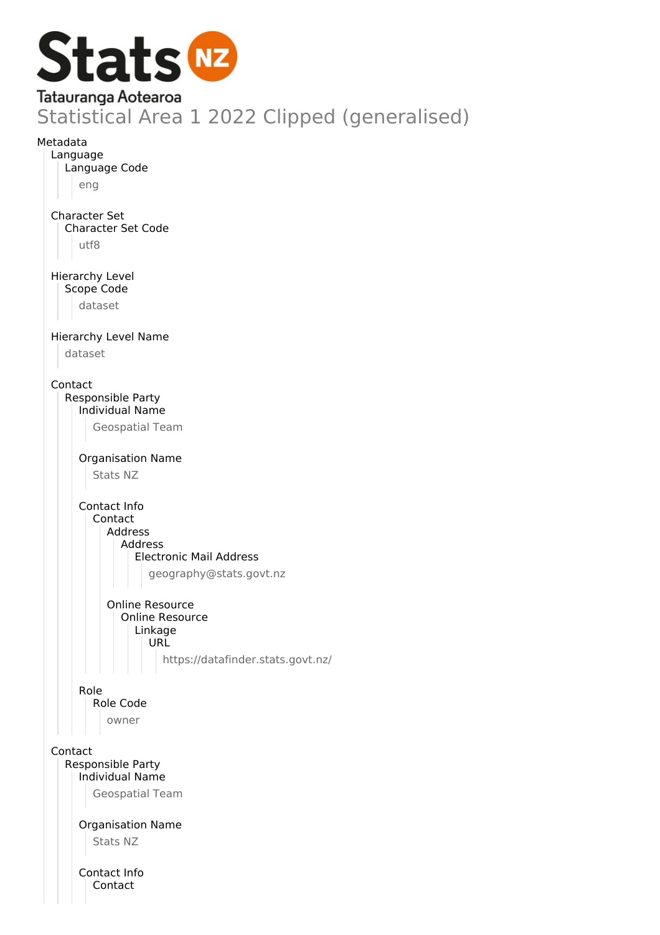

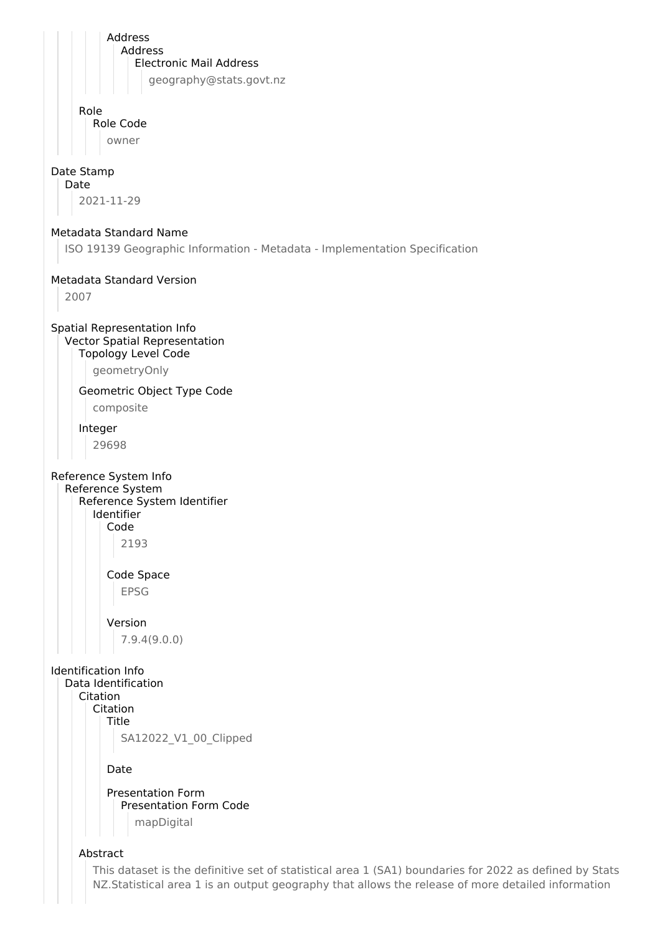Address Address Electronic Mail Address geography@stats.govt.nz Role Role Code owner Date Stamp Date 2021-11-29 Metadata Standard Name ISO 19139 Geographic Information - Metadata - Implementation Specification Metadata Standard Version 2007 Spatial Representation Info Vector Spatial Representation Topology Level Code geometryOnly Geometric Object Type Code composite Integer 29698 Reference System Info Reference System Reference System Identifier Identifier Code 2193 Code Space EPSG Version 7.9.4(9.0.0) Identification Info Data Identification **Citation** Citation Title SA12022\_V1\_00\_Clipped Date Presentation Form Presentation Form Code mapDigital Abstract This dataset is the definitive set of statistical area 1 (SA1) boundaries for 2022 as defined by Stats

NZ.Statistical area 1 is an output geography that allows the release of more detailed information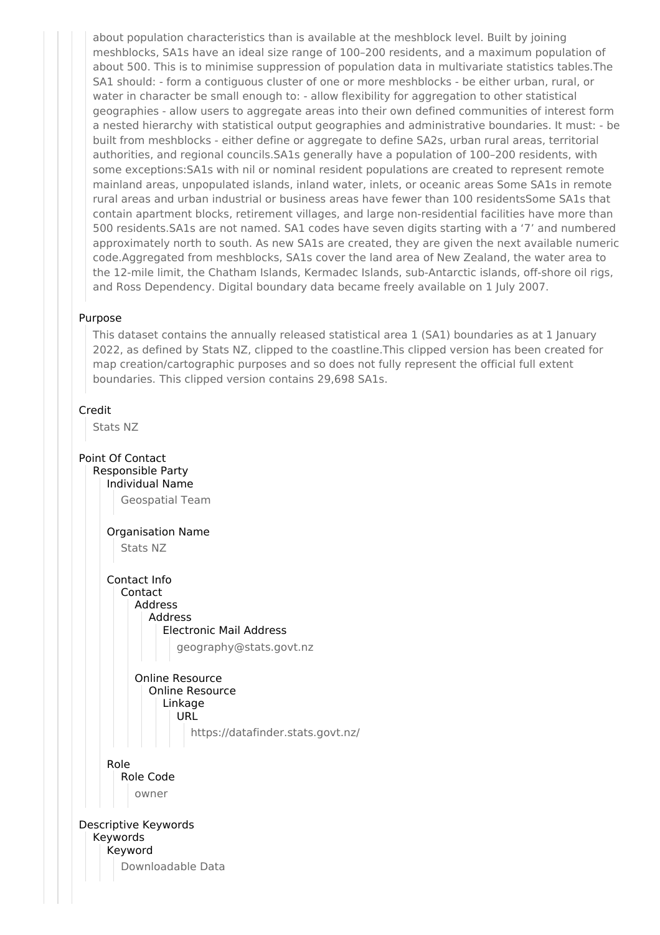about population characteristics than is available at the meshblock level. Built by joining meshblocks, SA1s have an ideal size range of 100–200 residents, and a maximum population of about 500. This is to minimise suppression of population data in multivariate statistics tables.The SA1 should: - form a contiguous cluster of one or more meshblocks - be either urban, rural, or water in character be small enough to: - allow flexibility for aggregation to other statistical geographies - allow users to aggregate areas into their own defined communities of interest form a nested hierarchy with statistical output geographies and administrative boundaries. It must: - be built from meshblocks - either define or aggregate to define SA2s, urban rural areas, territorial authorities, and regional councils.SA1s generally have a population of 100–200 residents, with some exceptions:SA1s with nil or nominal resident populations are created to represent remote mainland areas, unpopulated islands, inland water, inlets, or oceanic areas Some SA1s in remote rural areas and urban industrial or business areas have fewer than 100 residentsSome SA1s that contain apartment blocks, retirement villages, and large non-residential facilities have more than 500 residents.SA1s are not named. SA1 codes have seven digits starting with a '7' and numbered approximately north to south. As new SA1s are created, they are given the next available numeric code.Aggregated from meshblocks, SA1s cover the land area of New Zealand, the water area to the 12-mile limit, the Chatham Islands, Kermadec Islands, sub-Antarctic islands, off-shore oil rigs, and Ross Dependency. Digital boundary data became freely available on 1 July 2007.

## Purpose

This dataset contains the annually released statistical area 1 (SA1) boundaries as at 1 January 2022, as defined by Stats NZ, clipped to the coastline.This clipped version has been created for map creation/cartographic purposes and so does not fully represent the official full extent boundaries. This clipped version contains 29,698 SA1s.

## Credit

Stats NZ

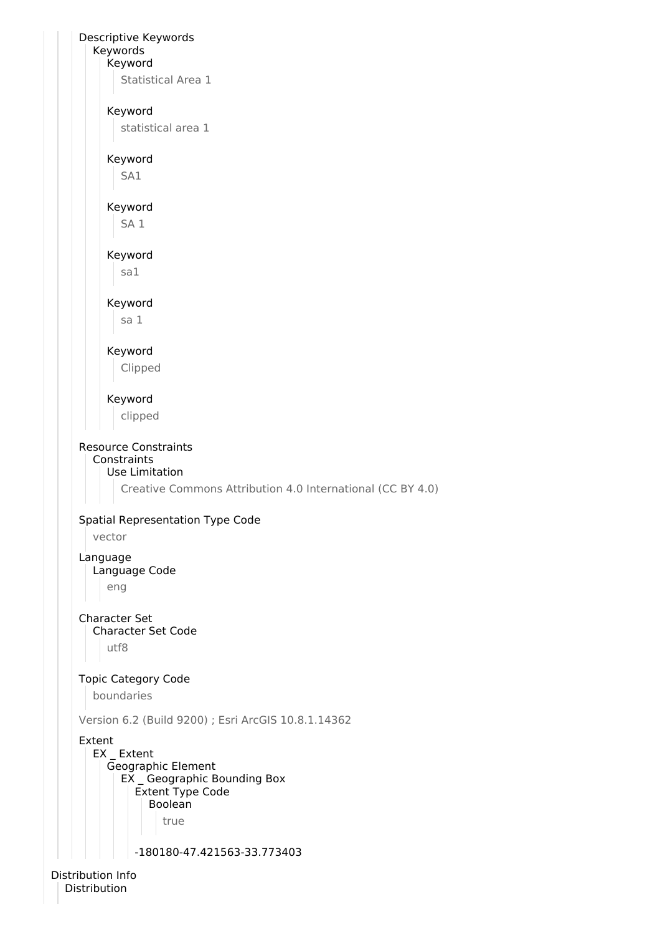Descriptive Keywords Keywords Keyword Statistical Area 1 Keyword statistical area 1 Keyword SA1 Keyword SA 1 Keyword sa1 Keyword sa 1 Keyword Clipped Keyword clipped Resource Constraints **Constraints** Use Limitation Creative Commons Attribution 4.0 International (CC BY 4.0) Spatial Representation Type Code vector Language Language Code eng Character Set Character Set Code utf8 Topic Category Code boundaries Version 6.2 (Build 9200) ; Esri ArcGIS 10.8.1.14362 Extent EX \_ Extent Geographic Element EX \_ Geographic Bounding Box Extent Type Code Boolean true -180180-47.421563-33.773403

Distribution Info Distribution